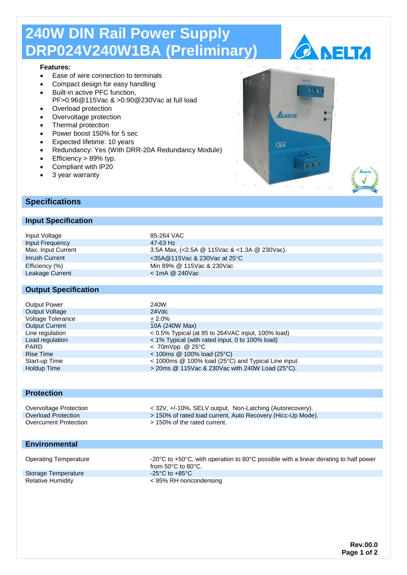## **240W DIN Rail Power Supply DRP024V240W1BA (Preliminary)**



#### **Features:**

- Ease of wire connection to terminals
- Compact design for easy handling
- Built-in active PFC function, PF>0.96@115Vac & >0.90@230Vac at full load
- Overload protection
- Overvoltage protection
- Thermal protection
- Power boost 150% for 5 sec
- Expected lifetime: 10 years
- Redundancy: Yes (With DRR-20A Redundancy Module)
- Efficiency > 89% typ.
- Compliant with IP20
- 3 year warranty

# ANELTA  $Chi$



#### **Specifications**

**Environmental**

#### **Input Specification**

| Input Voltage               | 85-264 VAC                                   |
|-----------------------------|----------------------------------------------|
| Input Frequency             | 47-63 Hz                                     |
| Max. Input Current          | 3.5A Max, (<2.5A @ 115Vac & <1.3A @ 230Vac). |
| Inrush Current              | $<$ 35A@115Vac & 230Vac at 25 $\degree$ C    |
| Efficiency (%)              | Min 89% @ 115Vac & 230Vac                    |
| Leakage Current             | $<$ 1mA @ 240Vac                             |
|                             |                                              |
| <b>Output Specification</b> |                                              |
|                             |                                              |
| <b>Output Power</b>         | 240W                                         |
| <b>Output Voltage</b>       | 24Vdc                                        |
| <b>Voltage Tolerance</b>    | $+2.0%$                                      |

| Voltage Tolerance     | $+2.0%$                                                                 |
|-----------------------|-------------------------------------------------------------------------|
| <b>Output Current</b> | 10A (240W Max)                                                          |
| Line regulation       | $<$ 0.5% Typical (at 85 to 264VAC input, 100% load)                     |
| Load regulation       | < 1% Typical (with rated input, 0 to 100% load)                         |
| <b>PARD</b>           | $< 70$ m $V$ pp. @ 25 $\degree$ C                                       |
| <b>Rise Time</b>      | $<$ 100ms @ 100% load (25°C)                                            |
| Start-up Time         | $<$ 1000ms $\circledR$ 100% load (25 $\circ$ C) and Typical Line input. |
| Holdup Time           | $>$ 20ms @ 115Vac & 230Vac with 240W Load (25°C).                       |

### **Protection** Overvoltage Protection <br>  $\leq 32V$ ,  $+/-10\%$ , SELV output, Non-Latching (Autorecovery).<br>  $>150\%$  of rated load current, Auto Recovery (Hicc-Up Mode Overload Protection > 150% of rated load current, Auto Recovery (Hicc-Up Mode).<br>Overcurrent Protection > 150% of the rated current.  $> 150\%$  of the rated current.

| <b>Operating Temperature</b> | -20°C to +50°C, with operation to 80°C possible with a linear derating to half power<br>from $50^{\circ}$ C to $80^{\circ}$ C. |
|------------------------------|--------------------------------------------------------------------------------------------------------------------------------|
| Storage Temperature          | -25°C to $+85$ °C                                                                                                              |
| <b>Relative Humidity</b>     | < 95% RH noncondensing                                                                                                         |